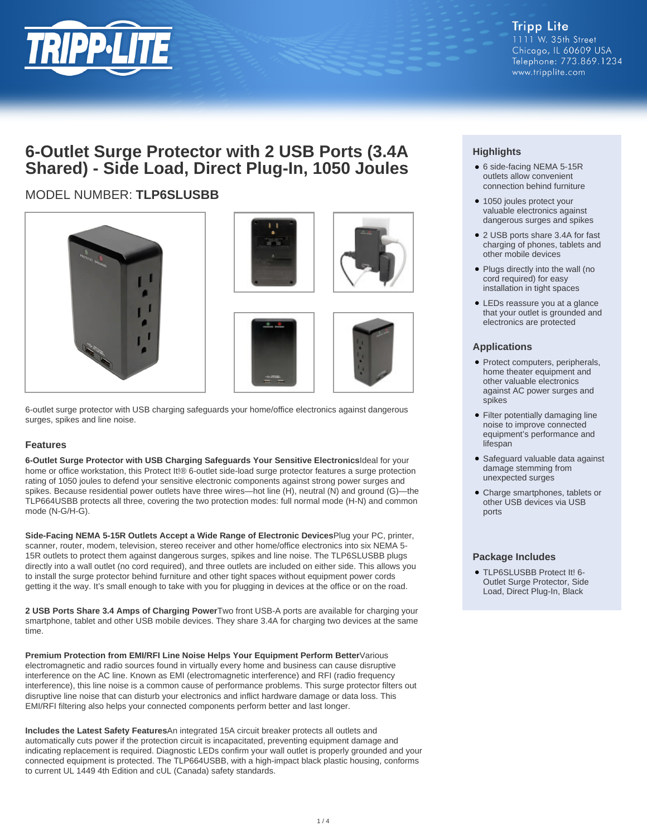

# **6-Outlet Surge Protector with 2 USB Ports (3.4A Shared) - Side Load, Direct Plug-In, 1050 Joules**

# MODEL NUMBER: **TLP6SLUSBB**



6-outlet surge protector with USB charging safeguards your home/office electronics against dangerous surges, spikes and line noise.

### **Features**

**6-Outlet Surge Protector with USB Charging Safeguards Your Sensitive Electronics**Ideal for your home or office workstation, this Protect It!® 6-outlet side-load surge protector features a surge protection rating of 1050 joules to defend your sensitive electronic components against strong power surges and spikes. Because residential power outlets have three wires—hot line (H), neutral (N) and ground (G)—the TLP664USBB protects all three, covering the two protection modes: full normal mode (H-N) and common mode (N-G/H-G).

**Side-Facing NEMA 5-15R Outlets Accept a Wide Range of Electronic Devices**Plug your PC, printer, scanner, router, modem, television, stereo receiver and other home/office electronics into six NEMA 5- 15R outlets to protect them against dangerous surges, spikes and line noise. The TLP6SLUSBB plugs directly into a wall outlet (no cord required), and three outlets are included on either side. This allows you to install the surge protector behind furniture and other tight spaces without equipment power cords getting it the way. It's small enough to take with you for plugging in devices at the office or on the road.

**2 USB Ports Share 3.4 Amps of Charging Power**Two front USB-A ports are available for charging your smartphone, tablet and other USB mobile devices. They share 3.4A for charging two devices at the same time.

**Premium Protection from EMI/RFI Line Noise Helps Your Equipment Perform Better**Various electromagnetic and radio sources found in virtually every home and business can cause disruptive interference on the AC line. Known as EMI (electromagnetic interference) and RFI (radio frequency interference), this line noise is a common cause of performance problems. This surge protector filters out disruptive line noise that can disturb your electronics and inflict hardware damage or data loss. This EMI/RFI filtering also helps your connected components perform better and last longer.

**Includes the Latest Safety Features**An integrated 15A circuit breaker protects all outlets and automatically cuts power if the protection circuit is incapacitated, preventing equipment damage and indicating replacement is required. Diagnostic LEDs confirm your wall outlet is properly grounded and your connected equipment is protected. The TLP664USBB, with a high-impact black plastic housing, conforms to current UL 1449 4th Edition and cUL (Canada) safety standards.

## **Highlights**

- 6 side-facing NEMA 5-15R outlets allow convenient connection behind furniture
- 1050 joules protect your valuable electronics against dangerous surges and spikes
- 2 USB ports share 3.4A for fast charging of phones, tablets and other mobile devices
- Plugs directly into the wall (no cord required) for easy installation in tight spaces
- LEDs reassure you at a glance that your outlet is grounded and electronics are protected

#### **Applications**

- Protect computers, peripherals, home theater equipment and other valuable electronics against AC power surges and spikes
- Filter potentially damaging line noise to improve connected equipment's performance and lifespan
- Safeguard valuable data against damage stemming from unexpected surges
- Charge smartphones, tablets or other USB devices via USB ports

#### **Package Includes**

● TLP6SLUSBB Protect It! 6-Outlet Surge Protector, Side Load, Direct Plug-In, Black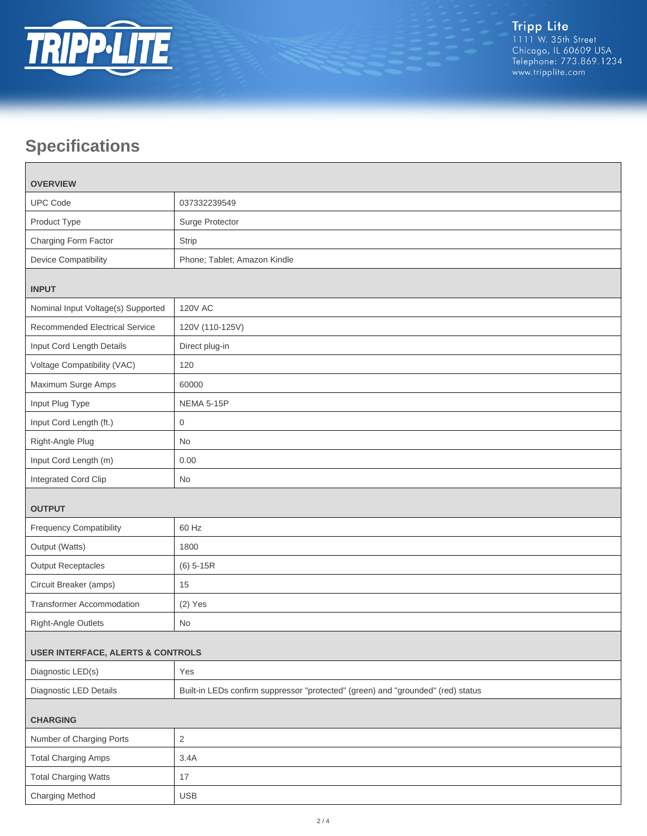

# **Specifications**

| <b>OVERVIEW</b>                              |                                                                                  |  |
|----------------------------------------------|----------------------------------------------------------------------------------|--|
| <b>UPC Code</b>                              | 037332239549                                                                     |  |
| Product Type                                 | Surge Protector                                                                  |  |
| Charging Form Factor                         | Strip                                                                            |  |
| <b>Device Compatibility</b>                  | Phone; Tablet; Amazon Kindle                                                     |  |
| <b>INPUT</b>                                 |                                                                                  |  |
| Nominal Input Voltage(s) Supported           | <b>120V AC</b>                                                                   |  |
| <b>Recommended Electrical Service</b>        | 120V (110-125V)                                                                  |  |
| Input Cord Length Details                    | Direct plug-in                                                                   |  |
| Voltage Compatibility (VAC)                  | 120                                                                              |  |
| Maximum Surge Amps                           | 60000                                                                            |  |
| Input Plug Type                              | NEMA 5-15P                                                                       |  |
| Input Cord Length (ft.)                      | $\mathbf 0$                                                                      |  |
| Right-Angle Plug                             | <b>No</b>                                                                        |  |
| Input Cord Length (m)                        | 0.00                                                                             |  |
| Integrated Cord Clip                         | <b>No</b>                                                                        |  |
| <b>OUTPUT</b>                                |                                                                                  |  |
| <b>Frequency Compatibility</b>               | 60 Hz                                                                            |  |
| Output (Watts)                               | 1800                                                                             |  |
| <b>Output Receptacles</b>                    | $(6)$ 5-15R                                                                      |  |
| Circuit Breaker (amps)                       | 15                                                                               |  |
| <b>Transformer Accommodation</b>             | $(2)$ Yes                                                                        |  |
| Right-Angle Outlets                          | No                                                                               |  |
| <b>USER INTERFACE, ALERTS &amp; CONTROLS</b> |                                                                                  |  |
| Diagnostic LED(s)                            | Yes                                                                              |  |
| Diagnostic LED Details                       | Built-in LEDs confirm suppressor "protected" (green) and "grounded" (red) status |  |
| <b>CHARGING</b>                              |                                                                                  |  |
| Number of Charging Ports                     | $\overline{2}$                                                                   |  |
| <b>Total Charging Amps</b>                   | 3.4A                                                                             |  |
| <b>Total Charging Watts</b>                  | 17                                                                               |  |
| Charging Method                              | <b>USB</b>                                                                       |  |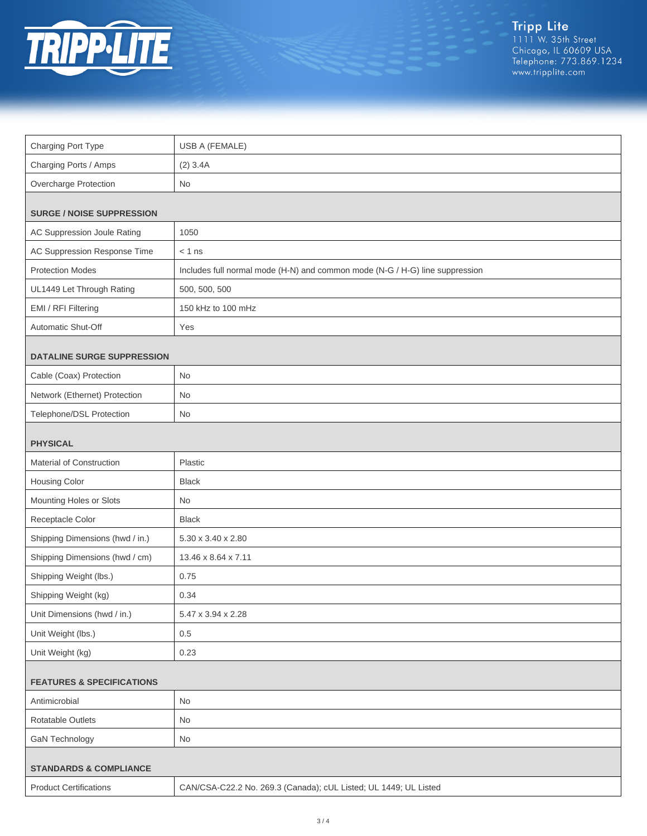

Tripp Lite<br>1111 W. 35th Street<br>Chicago, IL 60609 USA<br>Telephone: 773.869.1234<br>www.tripplite.com

| Charging Port Type                   | USB A (FEMALE)                                                               |  |
|--------------------------------------|------------------------------------------------------------------------------|--|
| Charging Ports / Amps                | $(2)$ 3.4A                                                                   |  |
| Overcharge Protection                | <b>No</b>                                                                    |  |
| <b>SURGE / NOISE SUPPRESSION</b>     |                                                                              |  |
| AC Suppression Joule Rating          | 1050                                                                         |  |
| AC Suppression Response Time         | $< 1$ ns                                                                     |  |
| <b>Protection Modes</b>              | Includes full normal mode (H-N) and common mode (N-G / H-G) line suppression |  |
| UL1449 Let Through Rating            | 500, 500, 500                                                                |  |
| EMI / RFI Filtering                  | 150 kHz to 100 mHz                                                           |  |
| Automatic Shut-Off                   | Yes                                                                          |  |
| <b>DATALINE SURGE SUPPRESSION</b>    |                                                                              |  |
| Cable (Coax) Protection              | No                                                                           |  |
| Network (Ethernet) Protection        | No                                                                           |  |
| Telephone/DSL Protection             | No                                                                           |  |
| <b>PHYSICAL</b>                      |                                                                              |  |
| Material of Construction             | Plastic                                                                      |  |
| Housing Color                        | <b>Black</b>                                                                 |  |
| Mounting Holes or Slots              | <b>No</b>                                                                    |  |
| Receptacle Color                     | <b>Black</b>                                                                 |  |
| Shipping Dimensions (hwd / in.)      | 5.30 x 3.40 x 2.80                                                           |  |
| Shipping Dimensions (hwd / cm)       | 13.46 x 8.64 x 7.11                                                          |  |
| Shipping Weight (lbs.)               | 0.75                                                                         |  |
| Shipping Weight (kg)                 | 0.34                                                                         |  |
| Unit Dimensions (hwd / in.)          | 5.47 x 3.94 x 2.28                                                           |  |
| Unit Weight (lbs.)                   | 0.5                                                                          |  |
| Unit Weight (kg)                     | 0.23                                                                         |  |
| <b>FEATURES &amp; SPECIFICATIONS</b> |                                                                              |  |
| Antimicrobial                        | No                                                                           |  |
| Rotatable Outlets                    | No                                                                           |  |
| <b>GaN Technology</b>                | No                                                                           |  |
| <b>STANDARDS &amp; COMPLIANCE</b>    |                                                                              |  |
| <b>Product Certifications</b>        | CAN/CSA-C22.2 No. 269.3 (Canada); cUL Listed; UL 1449; UL Listed             |  |